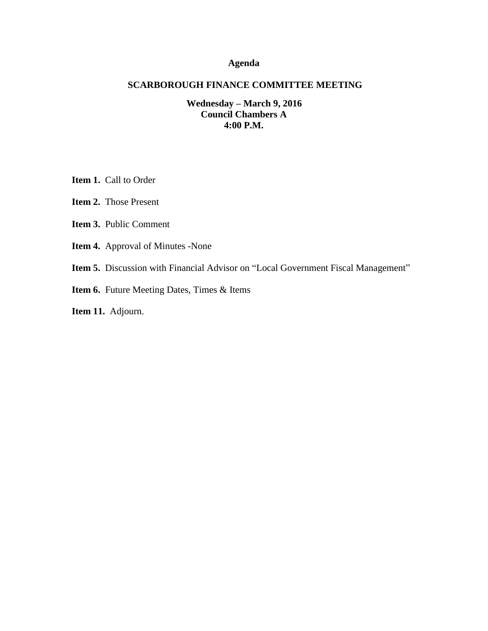## **Agenda**

## **SCARBOROUGH FINANCE COMMITTEE MEETING**

**Wednesday – March 9, 2016 Council Chambers A 4:00 P.M.**

**Item 1.** Call to Order

**Item 2.** Those Present

**Item 3.** Public Comment

**Item 4.** Approval of Minutes -None

**Item 5.** Discussion with Financial Advisor on "Local Government Fiscal Management"

**Item 6.** Future Meeting Dates, Times & Items

**Item 11.** Adjourn.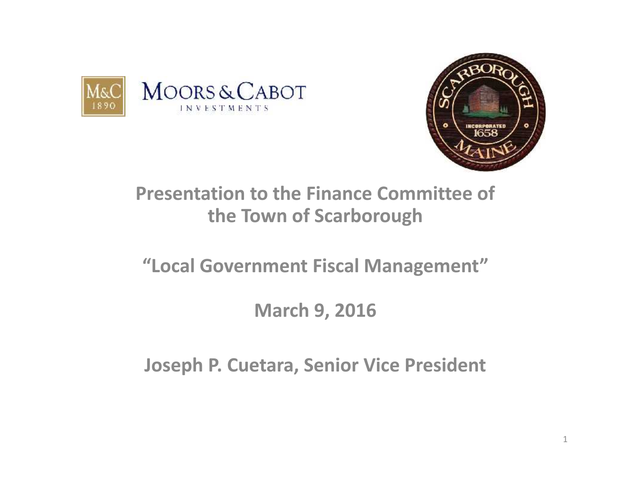



# **Presentation to the Finance Committee of the Town of Scarborough**

# **"Local Government Fiscal Management"**

# **March 9, 2016**

**Joseph P. Cuetara, Senior Vice President**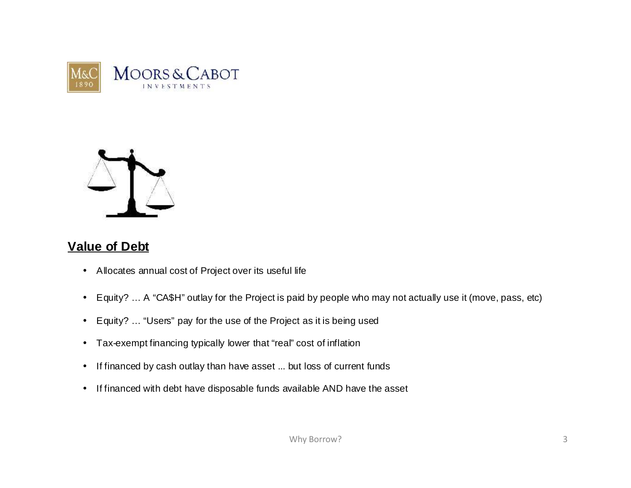



# **Value of Debt**

- Allocates annual cost of Project over its useful life
- Equity? … A "CA\$H" outlay for the Project is paid by people who may not actually use it (move, pass, etc)
- Equity? … "Users" pay for the use of the Project as it is being used
- Tax-exempt financing typically lower that "real" cost of inflation
- If financed by cash outlay than have asset ... but loss of current funds
- If financed with debt have disposable funds available AND have the asset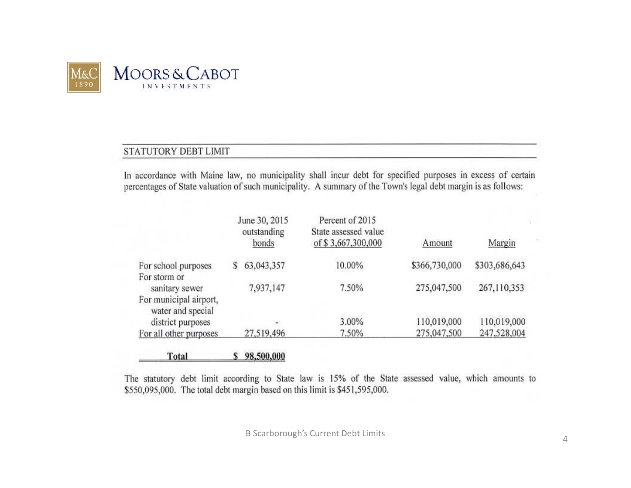

## STATUTORY DEBT LIMIT

In accordance with Maine law, no municipality shall incur debt for specified purposes in excess of certain percentages of State valuation of such municipality. A summary of the Town's legal debt margin is as follows:

| of \$3,667,300,000                    | Amount        | Margin        |
|---------------------------------------|---------------|---------------|
| 10.00%                                | \$366,730,000 | \$303,686,643 |
| 7.50%                                 | 275,047,500   | 267,110,353   |
|                                       |               |               |
| 3.00%                                 | 110,019,000   | 110,019,000   |
| 7.50%                                 | 275,047,500   | 247,528,004   |
| 63,043,357<br>7,937,147<br>27,519,496 |               |               |

The statutory debt limit according to State law is 15% of the State assessed value, which amounts to \$550,095,000. The total debt margin based on this limit is \$451,595,000.

<sup>4</sup> B Scarborough's Current Debt Limits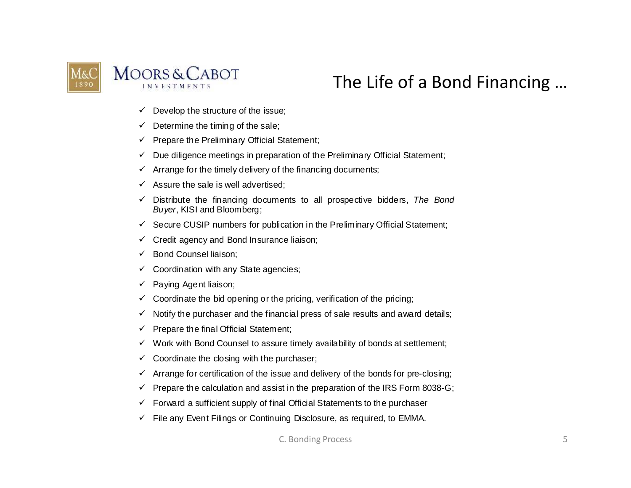

# The Life of a Bond Financing …

- $\checkmark$  Develop the structure of the issue;
- $\checkmark$  Determine the timing of the sale;
- $\checkmark$  Prepare the Preliminary Official Statement;
- $\checkmark$  Due diligence meetings in preparation of the Preliminary Official Statement;
- $\checkmark$  Arrange for the timely delivery of the financing documents;
- $\checkmark$  Assure the sale is well advertised;
- Distribute the financing documents to all prospective bidders, *The Bond Buyer*, KISI and Bloomberg;
- $\checkmark$  Secure CUSIP numbers for publication in the Preliminary Official Statement;
- $\checkmark$  Credit agency and Bond Insurance liaison;
- $\checkmark$  Bond Counsel liaison;
- $\checkmark$  Coordination with any State agencies;
- $\checkmark$  Paying Agent liaison;
- $\checkmark$  Coordinate the bid opening or the pricing, verification of the pricing;
- $\checkmark$  Notify the purchaser and the financial press of sale results and award details;
- $\checkmark$  Prepare the final Official Statement:
- $\checkmark$  Work with Bond Counsel to assure timely availability of bonds at settlement;
- $\checkmark$  Coordinate the closing with the purchaser;
- $\checkmark$  Arrange for certification of the issue and delivery of the bonds for pre-closing;
- $\checkmark$  Prepare the calculation and assist in the preparation of the IRS Form 8038-G;
- $\checkmark$  Forward a sufficient supply of final Official Statements to the purchaser
- $\checkmark$  File any Event Filings or Continuing Disclosure, as required, to EMMA.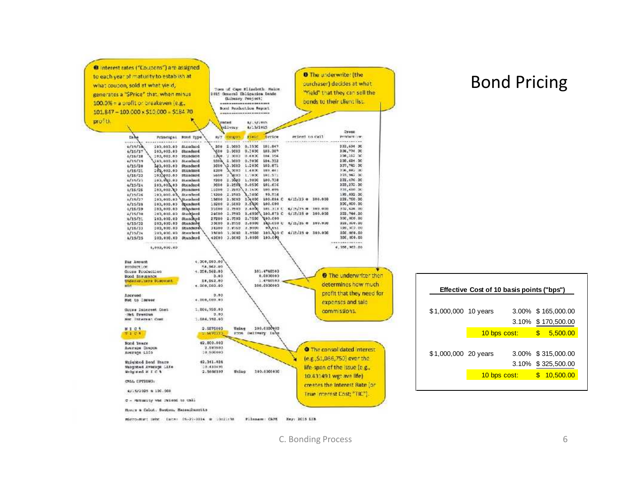

C. Bonding Process 6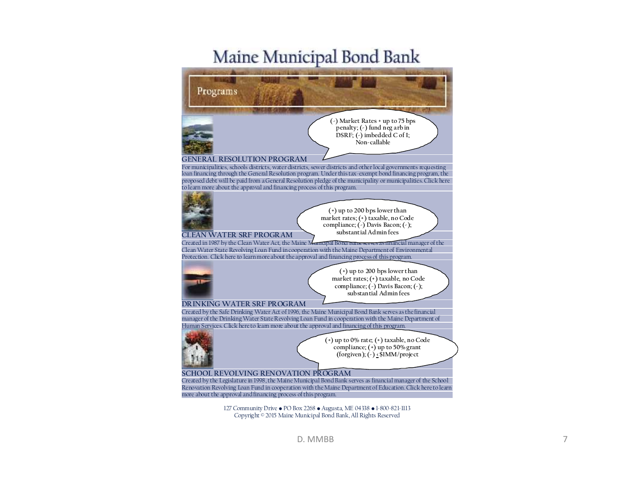# Maine Municipal Bond Bank



127 Community Drive • PO Box 2268 • Augusta, ME 04338 • 1-800-821-1113 Copyright © 2015 Maine Municipal Bond Bank, All Rights Reserved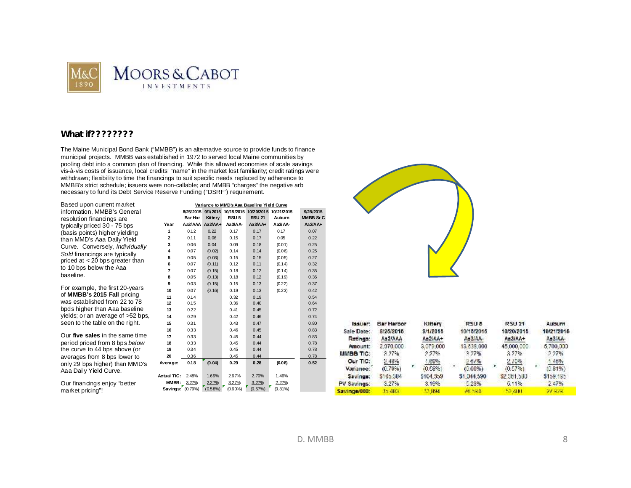

### *What if????????*

The Maine Municipal Bond Bank ("MMBB") is an alternative source to provide funds to finance municipal projects. MMBB was established in 1972 to served local Maine communities by pooling debt into a common plan of financing. While this allowed economies of scale savings vis - à -vis costs of issuance, local credits' "name" in the market lost familiarity; credit ratings were withdrawn; flexibility to time the financings to suit specific needs replaced by adherence to MMBB's strict schedule; issuers were non -callable; and MMBB "charges" the negative arb necessary to fund its Debt Service Reserve Funding ("DSRF") requirement.

Based upon current market information, MMBB's General resolution financings are typically priced 30 - 75 bps (basis points) higher yielding than MMD's Aaa Daily Yield Curve. Conversely, *Individually Sold* financings are typically priced at < 20 bps greater than to 10 bps below the Aaa baseline.

For example, the first 20 -years of **MMBB's 2015 Fall** pricing was established from 22 to 78 bpds higher than Aaa baseline yields; or an average of >52 bps, seen to the table on the right.

Our **five sales** in the same time period priced from 8 bps *below* the curve to 44 bps above (or averages from 8 bps lower to only 29 bps higher) than MMD's Aaa Daily Yield Curve.

Our financings enjoy "better market pricing"!

| <u>Variance to MMD's Aaa Baseline Yield Curve</u> |           |           |                  |                                  |         |                  |  |  |  |
|---------------------------------------------------|-----------|-----------|------------------|----------------------------------|---------|------------------|--|--|--|
|                                                   | 8/25/2015 | 9/1/2015  |                  | 10/15/2015 10/20/2015 10/21/2015 |         | 9/28/2015        |  |  |  |
|                                                   | Bar Har   | Kittery   | RSU <sub>5</sub> | <b>RSU 21</b>                    | Auburn  | <b>MMBB Sr C</b> |  |  |  |
| Year                                              | Aa2/AAA   | $Aa2/AA+$ | Aa3/AA-          | $Aa3/AA+$                        | Aa3/AA- | $Aa2/AA+$        |  |  |  |
| 1                                                 | 0.12      | 0.22      | 0.17             | 0.17                             | 0.17    | 0.07             |  |  |  |
| $\overline{\mathbf{c}}$                           | 0.11      | 0.06      | 0.15             | 0.17                             | 0.05    | 0.22             |  |  |  |
| 3                                                 | 0.06      | 0.04      | 0.09             | 0.18                             | (0.01)  | 0.25             |  |  |  |
| 4                                                 | 0.07      | (0.02)    | 0.14             | 0.14                             | (0.06)  | 0.25             |  |  |  |
| 5                                                 | 0.05      | (0.03)    | 0.15             | 0.15                             | (0.05)  | 0.27             |  |  |  |
| 6                                                 | 0.07      | (0.11)    | 0.12             | 0.11                             | (0.14)  | 0.32             |  |  |  |
| $\overline{7}$                                    | 0.07      | (0.15)    | 0.18             | 0.12                             | (0.14)  | 0.35             |  |  |  |
| 8                                                 | 0.05      | (0.13)    | 0.18             | 0.12                             | (0.19)  | 0.36             |  |  |  |
| 9                                                 | 0.03      | (0.15)    | 0.15             | 0.13                             | (0.22)  | 0.37             |  |  |  |
| 10                                                | 0.07      | (0.16)    | 0.19             | 0.13                             | (0.23)  | 0.42             |  |  |  |
| 11                                                | 0.14      |           | 0.32             | 0.19                             |         | 0.54             |  |  |  |
| 12                                                | 0.15      |           | 0.36             | 0.40                             |         | 0.64             |  |  |  |
| 13                                                | 0.22      |           | 0.41             | 0.45                             |         | 0.72             |  |  |  |
| 14                                                | 0.29      |           | 0.42             | 0.46                             |         | 0.74             |  |  |  |
| 15                                                | 0.31      |           | 0.43             | 0.47                             |         | 0.80             |  |  |  |
| 16                                                | 0.33      |           | 0.46             | 0.45                             |         | 0.83             |  |  |  |
| 17                                                | 0.33      |           | 0.45             | 0.44                             |         | 0.83             |  |  |  |
| 18                                                | 0.33      |           | 0.45             | 0.44                             |         | 0.78             |  |  |  |
| 19                                                | 0.34      |           | 0.45             | 0.44                             |         | 0.78             |  |  |  |
| 20                                                | 0.36      |           | 0.45             | 0.44                             |         | 0.78             |  |  |  |
| Average:                                          | 0.18      | (0.04)    | 0.29             | 0.28                             | (0.08)  | 0.52             |  |  |  |
|                                                   |           |           |                  |                                  |         |                  |  |  |  |
| Actual TIC:                                       | 2.48%     | 1.69%     | 2.67%            | 2.70%                            | 1.46%   |                  |  |  |  |
| MMBB:                                             | 3.27%     | 2.27%     | 3.27%            | 3.27%                            | 2.27%   |                  |  |  |  |
| Savings:                                          | (0.79%)   | (0.58%)   | $(0.60\%)$       | (0.57%)                          | (0.81%) |                  |  |  |  |



| <b>ISSUAR:</b>      | Bar Harbor |    | Kittery   | RSU 5       | <b>RSU 21</b> | Auburn     |
|---------------------|------------|----|-----------|-------------|---------------|------------|
| Sale Date:          | 8/25/2016  |    | 9/1/2015  | 10/15/2016  | 10/20/2015    | 10/21/2016 |
| Radnos:             | A32/AAA    |    | $A22AA+$  | As3/AA-     | Aa3/AA+       | Aa3/AA-    |
| Amount:             | 2.970.000  |    | 3,079,000 | 13,535,000  | 45,000,000    | 5,700,000  |
| <b>MMBB TIC:</b>    | 3.27%      |    | 2.77%     | 2.27%       | 3.27%         | 227%       |
| Our TIC:            | 2.48%      |    | 1,89%     | 2.6/%       | 2.70%         | 1.46%      |
| Variance:           | (0.79%)    | F. | (0.58%)   | (0.60%)     | (0.57%)       | $(0.81\%)$ |
| Savings:            | \$105,384  |    | \$104.359 | \$1,044.590 | \$2,361,590   | \$159.195  |
| PV Savings:         | 3.27%      |    | 3.10%     | 5.23%       | 5.11%         | 2.47%      |
| <b>Savings/000:</b> | 35,4801    |    | U3 1934   | 76,594      | 52,400        | 27,929     |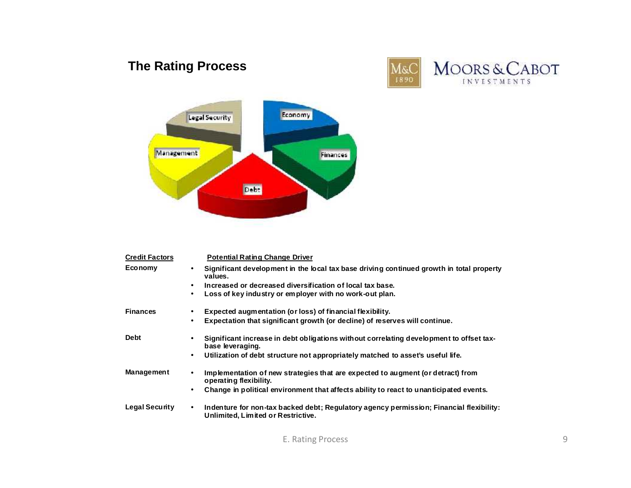

| <b>Credit Factors</b> | <b>Potential Rating Change Driver</b>                                                                                                      |
|-----------------------|--------------------------------------------------------------------------------------------------------------------------------------------|
| Economy               | Significant development in the local tax base driving continued growth in total property<br>values.                                        |
|                       | Increased or decreased diversification of local tax base.<br>$\bullet$                                                                     |
|                       | Loss of key industry or employer with no work-out plan.                                                                                    |
| <b>Finances</b>       | Expected augmentation (or loss) of financial flexibility.                                                                                  |
|                       | Expectation that significant growth (or decline) of reserves will continue.<br>$\bullet$                                                   |
| <b>Debt</b>           | Significant increase in debt obligations without correlating development to offset tax-<br>base leveraging.                                |
|                       | Utilization of debt structure not appropriately matched to asset's useful life.<br>$\bullet$                                               |
| Management            | Implementation of new strategies that are expected to augment (or detract) from<br>$\bullet$<br>operating flexibility.                     |
|                       | Change in political environment that affects ability to react to unanticipated events.<br>$\bullet$                                        |
| <b>Legal Security</b> | Indenture for non-tax backed debt; Regulatory agency permission; Financial flexibility:<br>$\bullet$<br>Unlimited, Limited or Restrictive. |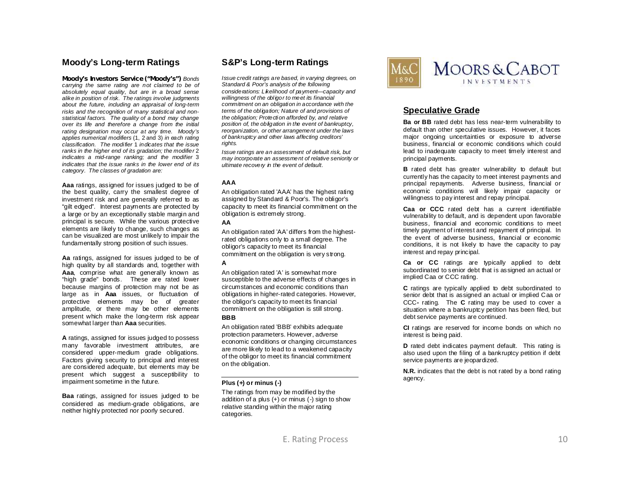## **Moody's Long-term Ratings**

*Moody's Investors Service ("Moody's") Bonds carrying the same rating are not claimed to be of absolutely equal quality, but are in a broad sense alike in position of risk. The ratings involve judgments about the future, including an appraisal of long-term risks and the recognition of many statistical and nonstatistical factors. The quality of a bond may change over its life and therefore a change from the initial rating designation may occur at any time. Moody's applies numerical modifiers* (1, 2 and 3) *in each rating classification. The modifier* 1 *indicates that the issue ranks in the higher end of its gradation; the modifier* 2 *indicates a mid-range ranking; and the modifier* 3 *indicates that the issue ranks in the lower end of its category. The classes of gradation are:*

**Aaa** ratings, assigned for issues judged to be of the best quality, carry the smallest degree of investment risk and are generally referred to as "gilt edged". Interest payments are protected by a large or by an exceptionally stable margin and principal is secure. While the various protective elements are likely to change, such changes as can be visualized are most unlikely to impair the fundamentally strong position of such issues.

**Aa** ratings, assigned for issues judged to be of high quality by all standards and, together with **Aaa**, comprise what are generally known as "high grade" bonds. These are rated lower because margins of protection may not be as large as in **Aaa** issues, or fluctuation of protective elements may be of greater amplitude, or there may be other elements present which make the long-term risk appear somewhat larger than **Aaa** securities.

**A** ratings, assigned for issues judged to possess many favorable investment attributes, are considered upper-medium grade obligations. Factors giving security to principal and interest are considered adequate, but elements may be present which suggest a susceptibility to impairment sometime in the future.

**Baa** ratings, assigned for issues judged to be considered as medium-grade obligations, are neither highly protected nor poorly secured.

## **S&P's Long-term Ratings**

*Issue credit ratings are based, in varying degrees, on Standard & Poor's analysis of the following considerations: Likelihood of payment—capacity and willingness of the obligor to meet its financial commitment on an obligation in accordance with the terms of the obligation; Nature of and provisions of the obligation; Protection afforded by, and relative position of, the obligation in the event of bankruptcy, reorganization, or other arrangement under the laws of bankruptcy and other laws affecting creditors' rights.*

*Issue ratings are an assessment of default risk, but may incorporate an assessment of relative seniority or ultimate recovery in the event of default.*

### **AAA**

An obligation rated 'AAA' has the highest rating assigned by Standard & Poor's. The obligor's capacity to meet its financial commitment on the obligation is extremely strong.

#### **AA**

An obligation rated 'AA' differs from the highestrated obligations only to a small degree. The obligor's capacity to meet its financial commitment on the obligation is very strong.

### **A**

An obligation rated 'A' is somewhat more susceptible to the adverse effects of changes in circumstances and economic conditions than obligations in higher-rated categories. However, the obligor's capacity to meet its financial commitment on the obligation is still strong.

#### **BBB**

An obligation rated 'BBB' exhibits adequate protection parameters. However, adverse economic conditions or changing circumstances are more likely to lead to a weakened capacity of the obligor to meet its financial commitment on the obligation.

### **Plus (+) or minus (-)**

The ratings from may be modified by the addition of a plus  $(+)$  or minus  $(-)$  sign to show relative standing within the major rating categories.



### **Speculative Grade**

**Ba or BB** rated debt has less near-term vulnerability to default than other speculative issues. However, it faces major ongoing uncertainties or exposure to adverse business, financial or economic conditions which could lead to inadequate capacity to meet timely interest and principal payments.

**B** rated debt has greater vulnerability to default but currently has the capacity to meet interest payments and principal repayments. Adverse business, financial or economic conditions will likely impair capacity or willingness to pay interest and repay principal.

**Caa or CCC** rated debt has a current identifiable vulnerability to default, and is dependent upon favorable business, financial and economic conditions to meet timely payment of interest and repayment of principal. In the event of adverse business, financial or economic conditions, it is not likely to have the capacity to pay interest and repay principal.

**Ca or CC** ratings are typically applied to debt subordinated to senior debt that is assigned an actual or implied Caa or CCC rating.

**C** ratings are typically applied to debt subordinated to senior debt that is assigned an actual or implied Caa or CCC**-** rating. The **C** rating may be used to cover a situation where a bankruptcy petition has been filed, but debt service payments are continued.

**CI** ratings are reserved for income bonds on which no interest is being paid.

**D** rated debt indicates payment default. This rating is also used upon the filing of a bankruptcy petition if debt service payments are jeopardized.

**N.R.** indicates that the debt is not rated by a bond rating agency.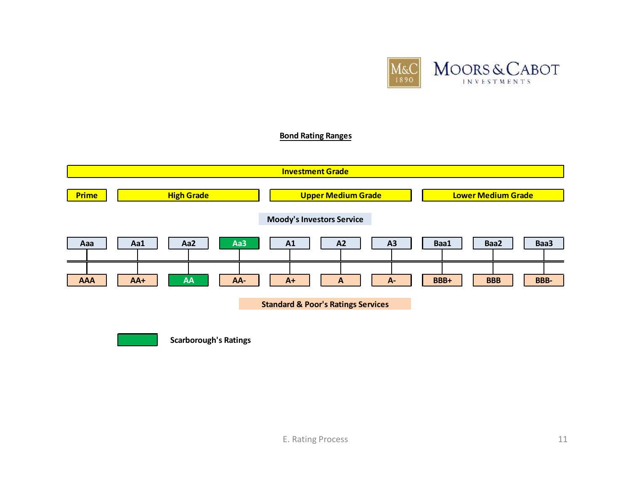

## **Bond Rating Ranges**





**Scarborough's Ratings**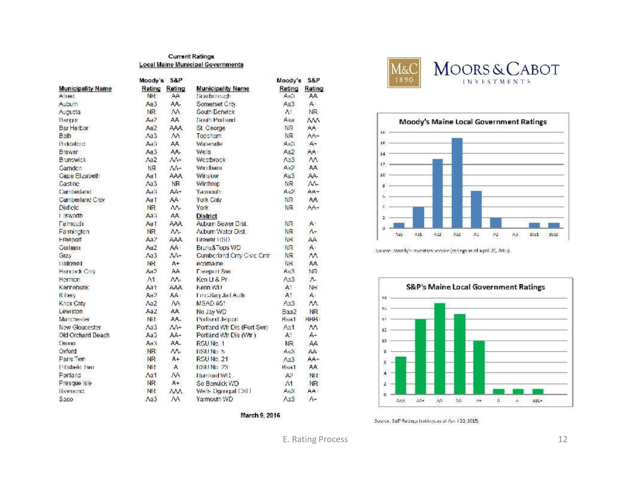### **Current Ratings** Local Maine Municipal Governments

|                             | Moody's         | S&P                  |                             | Moody's          | S&P         |
|-----------------------------|-----------------|----------------------|-----------------------------|------------------|-------------|
| <b>Municipality Name</b>    | Rating          | Rating               | <b>Municipality Name</b>    | Rating           | Rating      |
| Allied                      | NR              | AA                   | Scarborough                 | As3              | AA          |
| <b>Auburn</b>               | Aa3             | AA.                  | Somerset Crity              | Aa3              | A.          |
| Augusta                     | NR.             | M.                   | South Berwick               | M                | NR.         |
| Вагорт                      | Aa2             | AA                   | South Poilland              | Aaa              | <b>NVV</b>  |
| Bar Harbor                  | Aa2             | AAA                  | St. Ceorge                  | NR.              | AA-         |
| <b>Bath</b>                 | Aa3             | M                    | Toosham                     | NR.              | AA+         |
| Hiddelpro                   | Aa3             | AA                   | ellivrei is W               | Aati             | $A+$        |
| <b>Brewer</b>               | Aa3             | AA-                  | Wells                       | Aa2              | AA-         |
| Brunswick                   | $\Lambda$ a2    | $\mathcal{N}$        | Westbrook                   | A33              | $\sim$      |
| Camden                      | ŃR              | $\Lambda\Lambda +$   | Windham                     | Aa2              | AA.         |
| Cape Elizabeth              | Au1             | AAA                  | <b>Winskw</b>               | A <sub>H</sub> 3 | AA-         |
| Castine                     | Aa3             | NR.                  | Winthrop                    | NR.              | W-          |
| Cumbedand                   | Aa3             | AA+                  | Yannouth                    | Aa2              | $AA-$       |
| Curriberland Citiv          | Au1             | AA                   | York Crity                  | NR.              | AA.         |
| Disfield                    | NR.             | M-                   | York                        | NR.              | $AA-$       |
| I isworth                   | Aa3             | AA.                  | <b>District</b>             |                  |             |
| <b>Falmouth</b>             | Au1             | AAA                  | Auburn Sewer Dist.          | ΝR               | A           |
| Farmington                  | <b>NR</b>       | M-                   | Aubum Water Dist            | NR.              | $\Lambda$ + |
| Freeport                    | Aa2             | <b>AAA</b>           | Lirewer (ISI)               | NR               | AA          |
| Gorham                      | Au <sub>2</sub> | AA+                  | Bruns&Tops WD               | NR.              | A           |
| Grav                        | $\Lambda$ a3    | $\mathcal{N}$        | Cumberland Cnty Civic Cntr. | NR.              | $\sim$      |
| Hallowell                   | NR              | $A+$                 | ecomaine.                   | NR               | AA          |
| Hercark Chly                | AH <sub>2</sub> | ÄÄ                   | <b>Freeport Swr</b>         | Aa3              | NR.         |
| Hermon                      | $\mathbf{M}$    | $M -$                | Ken Lt & Pr                 | A33              | Λ.          |
| Kernebunk                   | Aa1             | <b>AAA</b>           | Kenn W1)                    | Aĭ               | <b>NR</b>   |
| Killery                     | AH2             | AA                   | Linc-Sag Jail Auth          | A1.              | A.          |
| Knox Crity                  | Aa2             | M                    | <b>MSAD 451</b>             | A <sub>33</sub>  | $\sim$      |
| Lewiston                    | Aa2             | AA.                  | No Jay WD                   | Baa2             | NR.         |
| Manchester                  | NR              | AA-                  | Potterd Jepoch              | <b>Haa1</b>      | <b>BBB</b>  |
| New Gloucester              | $\Lambda$ a3    | $M +$                | Portland Wtr Dis (Port Swr) | A <sub>31</sub>  | $\sim$      |
| Old Orchard Beach           | Aa3             | $AA-$                | Portland Wtr Dis (Wtr )     | A1               | $A+$        |
| <b><i><u>Сления</u></i></b> | AH3             | AA.                  | RSU No. 1                   | NR.              | AA          |
| Oxford                      | NR.             | $M -$                | RSUND 5                     | Au3              | AA          |
| Paris Twm                   | NR.             | A+                   | RSU No. 21                  | Aa3              | $AA-$       |
| <b>Pilisheld Twn</b>        | NR              | A                    | RSUNo 23                    | <b>HEH1</b>      | AA.         |
| Portland                    | Aa1             | M                    | Rumland WD                  | A2               | NR3         |
| Presque sie                 | NR.             | A+                   | So Berwick WD               | $\Lambda$ 1      | NR.         |
| Rawmond                     | NR3             | $\mathcal{N}\Lambda$ | Wells Ogunguil CSH          | As3              | AA          |
| Saco                        | Aa3             | M                    | Yarmouth WD                 | Aa3              | $A+$        |





Sauron: Moody's investors service (ratings as of April 20, 2005).



Source: S&P Ratings Instings as of Apr 120, 2015)

E. Rating Process 12

March 9, 2016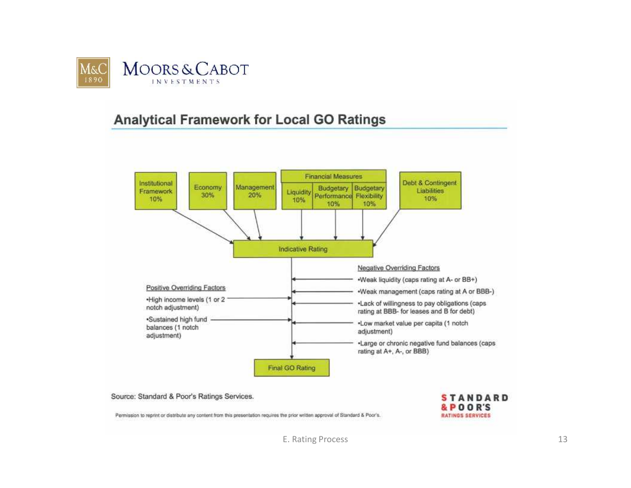

# **Analytical Framework for Local GO Ratings**



Source: Standard & Poor's Ratings Services.

**STANDARD &POOR'S RATINGS SERVICES** 

Permission to reprint or distribute any content from this presentation requires the prior written approval of Standard & Poor's.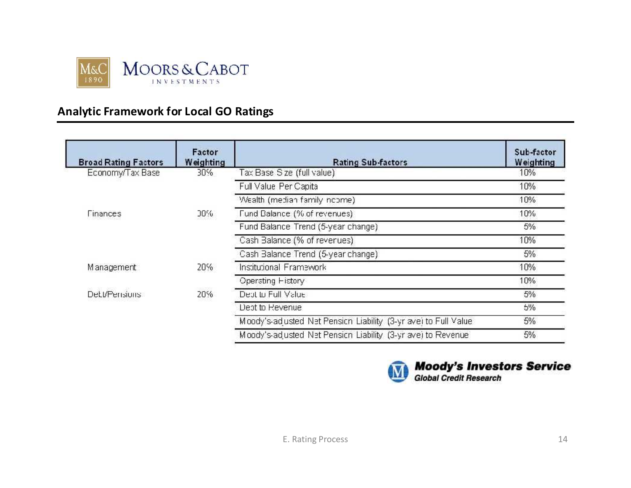

# **Analytic Framework for Local GO Ratings**

| <b>Broad Rating Factors</b> | Factor<br>Weighting | <b>Rating Sub-factors</b>                                        | Sub-factor<br>Weighting |
|-----------------------------|---------------------|------------------------------------------------------------------|-------------------------|
| Economy/Tax Base            | 30%                 | Tax Base S ze (full value)                                       | 10%                     |
|                             |                     | Full Value Per Capita                                            | 10%                     |
|                             |                     | Wealth (median family noome)                                     | 10%                     |
| <b>Finances</b>             | 30%                 | Fund Balance (% of revenues)                                     | 10%                     |
|                             |                     | Fund Balance Trend (5-year change)                               | 5%                      |
|                             |                     | Cash Balance (% of reverues)                                     | 10%                     |
|                             |                     | Cash Balance Trend (5-year change)                               | 5%                      |
| Management                  | 20%                 | Institutional Framework                                          | 10%                     |
|                             |                     | Operating History                                                | 10%                     |
| <b>Dett/Perisions</b>       | 20%                 | Dept to Full Value.                                              | 5%                      |
|                             |                     | Dest to Revenue                                                  | 5%                      |
|                             |                     | Moody's-adjusted Net Pension Liability (3-yr avei to Full Value) | 5%                      |
|                             |                     | Moody's-adjusted Net Pension Liability (3-yr ave) to Revenue     | 5%                      |



# **Moody's Investors Service**<br>Global Credit Research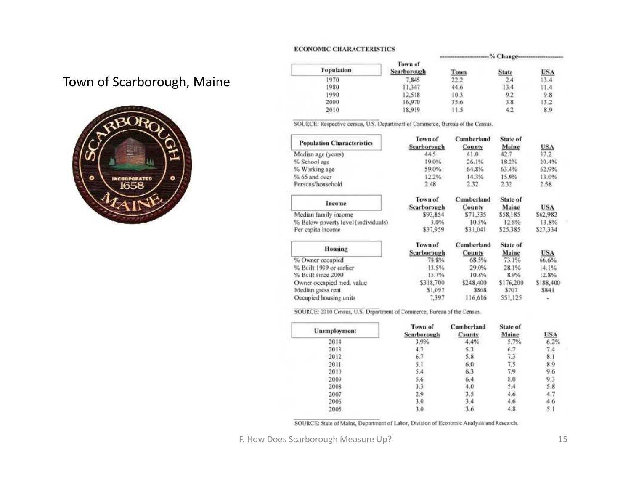### **ECONOMIC CHARACTERISTICS**

# Town of Scarborough, Maine



|                   |                        |      | 7а С.ПВВРЕМНИНИ |      |  |
|-------------------|------------------------|------|-----------------|------|--|
| <b>Population</b> | Town of<br>Scarborough | Town | Iste            |      |  |
| 1970              | 7,845                  | 22.2 |                 | 13.4 |  |
| 1980              | 1,347                  | 44.6 | 3.4             | 11.4 |  |
| 1990              | 12,518                 | 10.3 | 92              | 9.8  |  |
| 2000              | 16,970                 | 35.6 | 3.8             | 13.2 |  |
| 2010              | 18,919                 | 1.5  |                 | 8.9  |  |

as my

SOURCE: Respective cersus, U.S. Department of Commerce, Bureau of the Census.

| <b>Population Characteristics</b>   | Town of<br>Searborough | Cumberland<br>County | <b>State of</b><br>Maine | USA        |
|-------------------------------------|------------------------|----------------------|--------------------------|------------|
| Median age (years)                  | 44.5                   | 41.0                 | 42.7                     | 37.2       |
| % School age                        | 19.0%                  | 26.1%                | 18.2%                    | 20.4%      |
| % Working age                       | 59.0%                  | 64.8%                | 63.4%                    | 62.9%      |
| % 65 and over                       | 12.2%                  | 14.3%                | 15.9%                    | 13.0%      |
| Persons/household                   | 2.48                   | 2.32                 | 2.32                     | 2.58       |
| Income                              | Town of                | Cumberland           | State of                 |            |
|                                     | Scarborough            | County               | Maine                    | <b>USA</b> |
| Median family income                | \$93,854               | \$71,335             | \$58.185                 | \$62,982   |
| % Below poverty level (individuals) | 3.0%                   | 10.5%                | 12.6%                    | 13.8%      |
| Per capita income                   | \$37,959               | \$31,041             | \$25,385                 | \$27,334   |
| Housing                             | Town of                | Cumberland           | State of                 |            |
|                                     | Scarborough            | County               | Maine                    | <b>USA</b> |
| % Owner occupied                    | 78.8%                  | 68.5%                | 73.1%                    | 66.6%      |
| % Built 1939 or earlier             | 13.5%                  | 29.0%                | 28.1%                    | 4.1%       |
| % Built since 2000                  | 15.7%                  | 10.3%                | 8.9%                     | 12.8%      |
| Owner occupied med. value           | \$318,700              | \$248,400            | \$176,200                | \$188,400  |
| Median gress rent                   | \$1,097                | \$868                | \$707                    | \$841      |
| Occupied housing units              | 7,397                  | 116,616              | 551,125                  |            |

SOURCE: 2010 Census, U.S. Department of Commerce, Bureau of the Census.

| Unemployment | Town of<br>Searborough | Cumberland<br>County | State of<br>Maine | <b>USA</b> |
|--------------|------------------------|----------------------|-------------------|------------|
| 2014         | 3.9%                   | 4.4%                 | 5.7%              | 6.2%       |
| 2013         |                        |                      |                   | 7.4        |
| 2012         |                        | 5.8                  |                   | 8.1        |
| 2011         |                        | 6.0                  |                   | 8.9        |
| 2010         |                        |                      |                   | 9.6        |
| 2009         | УÐ                     | 6.4                  |                   | 9.3        |
| 2003         |                        |                      |                   | 5.8        |
| 2007         |                        |                      |                   |            |
| 2006         | ίО                     |                      |                   |            |
| 2005         |                        |                      |                   |            |

SOURCE: State of Maine, Department of Labor, Division of Economic Analysis and Research.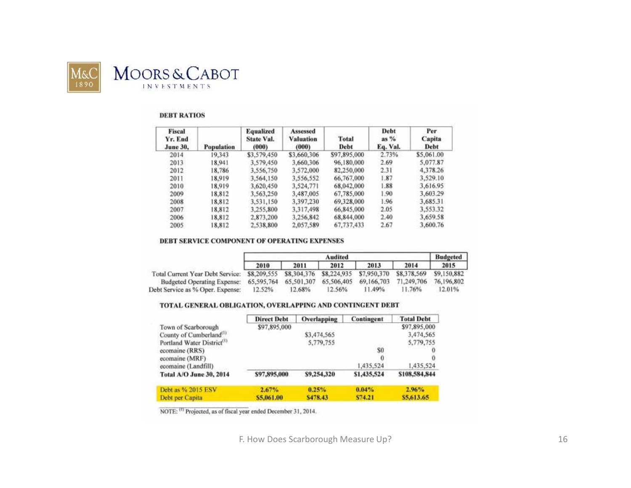

### **DEBT RATIOS**

| Fiscal<br>Yr. End<br><b>June 30.</b> | Population | Equalized<br>State Val.<br>(000) | Assessed<br><b>Valuation</b><br>(000) | Total<br>Debt | <b>Debt</b><br>$as \%$<br>Eq. Val. | Per<br>Capita<br>Debt |
|--------------------------------------|------------|----------------------------------|---------------------------------------|---------------|------------------------------------|-----------------------|
| 2014                                 | 19,343     | \$3,579,450                      | \$3,660,306                           | \$97,895,000  | 2.73%                              | \$5,061.00            |
| 2013                                 | 18,941     | 3.579,450                        | 3,660,306                             | 96,180,000    | 2.69                               | 5.077.87              |
| 2012                                 | 18,786     | 3,556,750                        | 3,572,000                             | 82.250.000    | 2.31                               | 4,378.26              |
| 2011                                 | 18.919     | 3,564,150                        | 3.556.552                             | 66,767,000    | 1.87                               | 3,529.10              |
| 2010                                 | 18,919     | 3,620,450                        | 3,524,771                             | 68,042,000    | 1.88                               | 3.616.95              |
| 2009                                 | 18,812     | 3,563,250                        | 3,487,005                             | 67,785,000    | 1.90                               | 3,603.29              |
| 2008                                 | 18,812     | 3,531,150                        | 3,397,230                             | 69,328,000    | 1.96                               | 3,685.31              |
| 2007                                 | 18,812     | 3,255,800                        | 3,317,498                             | 66,845,000    | 2.05                               | 3,553.32              |
| 2006                                 | 18,812     | 2,873,200                        | 3,256,842                             | 68.844.000    | 2.40                               | 3,659.58              |
| 2005                                 | 18,812     | 2.538,800                        | 2,057,589                             | 67,737,433    | 2.67                               | 3,600.76              |

#### DEBT SERVICE COMPONENT OF OPERATING EXPENSES

|                                              |            | <b>Budgeted</b> |             |             |             |             |
|----------------------------------------------|------------|-----------------|-------------|-------------|-------------|-------------|
|                                              | 2010       | 2011            | 2012        | 2013        | 2014        | 2015        |
| Total Current Year Debt Service: \$8,209,555 |            | \$8,304,376     | \$8,224,935 | \$7,950,370 | \$8,378,569 | \$9,150,882 |
| <b>Budgeted Operating Expense:</b>           | 65,595,764 | 65.501.307      | 65.506.405  | 69.166.703  | 71,249,706  | 76.196.802  |
| Debt Service as % Oper. Expense:             | 12.52%     | 12.68%          | 12.56%      | 11.49%      | 11.76%      | 12.01%      |

### TOTAL GENERAL OBLIGATION, OVERLAPPING AND CONTINGENT DEBT

|                                        | <b>Direct Debt</b> | Overlapping | Contingent  | <b>Total Debt</b> |
|----------------------------------------|--------------------|-------------|-------------|-------------------|
| Town of Scarborough                    | \$97,895,000       |             |             | \$97,895,000      |
| County of Cumberland <sup>(1)</sup>    |                    | \$3,474,565 |             | 3,474,565         |
| Portland Water District <sup>(1)</sup> |                    | 5,779,755   |             | 5,779,755         |
| ecomaine (RRS)                         |                    |             | S0          |                   |
| ecomaine (MRF)                         |                    |             |             |                   |
| ecomaine (Landfill)                    |                    |             | 1,435,524   | 1,435,524         |
| Total A/O June 30, 2014                | \$97,895,000       | \$9,254,320 | \$1,435,524 | \$108,584,844     |
| Debt as % 2015 ESV                     | 2.67%              | 0.25%       | 0.04%       | 2.96%             |
| Debt per Capita                        | \$5,061.00         | \$478.43    | S74.21      | \$5,613.65        |

NOTE: <sup>(1)</sup> Projected, as of fiscal year ended December 31, 2014.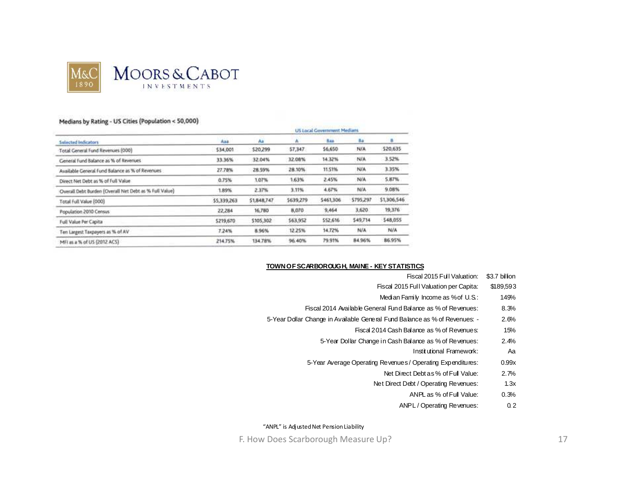

### Medians by Rating - US Cities (Population < 50,000)

| <b>Selected Indicators</b>                             | <b>US Local Government Medians</b> |             |          |            |            |             |
|--------------------------------------------------------|------------------------------------|-------------|----------|------------|------------|-------------|
|                                                        | Ana.                               | As          |          | <b>LAA</b> | B.a.       | n           |
| Total General Fund Revenues (000)                      | \$34,001                           | \$20,299    | 57,347   | \$6,650    | N/A        | 520,635     |
| General Fund Balance as % of Revenues                  | 33.36%                             | 32.04%      | 32.08%   | 14.32%     | N/A        | 3.52%       |
| Available General Fund Balance as % of Revenues        | 27.78%                             | 28.59%      | 28.10%   | 11.51%     | <b>N/A</b> | 3:35%       |
| Direct Net Debt as % of Full Value                     | 0.75%                              | 1.07%       | 1.63%    | 2.45%      | N/A        | 5,87%       |
| Overall Debt Burden (Overall Net Debt as % Full Value) | 1.89%                              | 2.37%       | 3.11%    | 4.67%      | N/A        | 9.08%       |
| Total Full Value (000)                                 | \$5,339,263                        | \$1,848,747 | 5639,279 | \$461,306  | \$795,297  | \$1,306,546 |
| Population 2010 Census                                 | 22,284                             | 16,780      | 8,070    | 9,464      | 3,620      | 19,376      |
| Full Value Per Capita                                  | \$219,670                          | \$105,302   | 563.952  | 552,616    | 549,714    | \$48,055    |
| Ten Largest Taxpayers as % of AV                       | 7.24%                              | 8.96%       | 12.25%   | 14.72%     | <b>N/A</b> | <b>N/A</b>  |
| MFI as a % of US (2012 ACS)                            | 214.75%                            | 134.78%     | 96.40%   | 79.91%     | 84.96%     | 86.95%      |
|                                                        |                                    |             |          |            |            |             |

#### **TOWN OF SCARBOROUGH, MAINE - KEY STATISTICS**

- Fiscal 2015 Full Valuation: \$3.7 billion
- Fiscal 2015 Full Valuation per Capita: \$189,593
- Median Family Income as % of U.S.: 149%
- Fiscal 2014 Available General Fund Balance as % of Revenues: 8.3%
- 5-Year Dollar Change in Available General Fund Balance as % of Revenues: 2.6%
	- Fiscal 2014 Cash Balance as % of Revenues: 15%
	- 5-Year Dollar Change in Cash Balance as % of Revenues: 2.4%
		- Instit utional Framework: Aa
	- 5-Year Average Operating Revenues / Operating Expenditures: 0.99x
		- Net Direct Debt as % of Full Value: 2.7%
		- Net Direct Debt / Operating Revenues: 1.3x
			- ANPL as % of Full Value: 0.3%
			- ANPL/Operating Revenues: 0.2

#### "ANPL" is Adjusted Net Pension Liability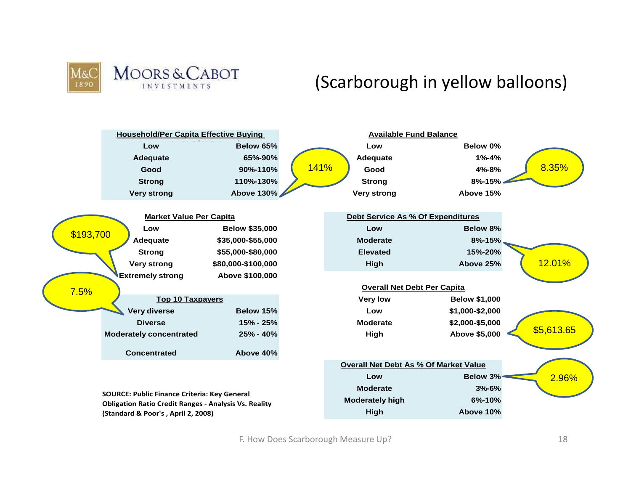

# (Scarborough in yellow balloons)